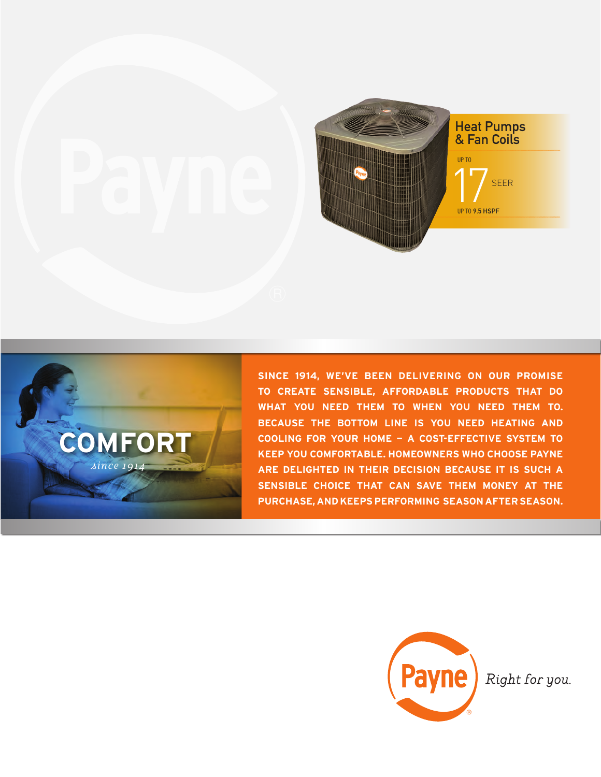



**SINCE 1914, WE'VE BEEN DELIVERING ON OUR PROMISE TO CREATE SENSIBLE, AFFORDABLE PRODUCTS THAT DO WHAT YOU NEED THEM TO WHEN YOU NEED THEM TO. BECAUSE THE BOTTOM LINE IS YOU NEED HEATING AND COOLING FOR YOUR HOME — A COST-EFFECTIVE SYSTEM TO KEEP YOU COMFORTABLE. HOMEOWNERS WHO CHOOSE PAYNE ARE DELIGHTED IN THEIR DECISION BECAUSE IT IS SUCH A SENSIBLE CHOICE THAT CAN SAVE THEM MONEY AT THE PURCHASE, AND KEEPS PERFORMING SEASON AFTER SEASON.**



Right for you.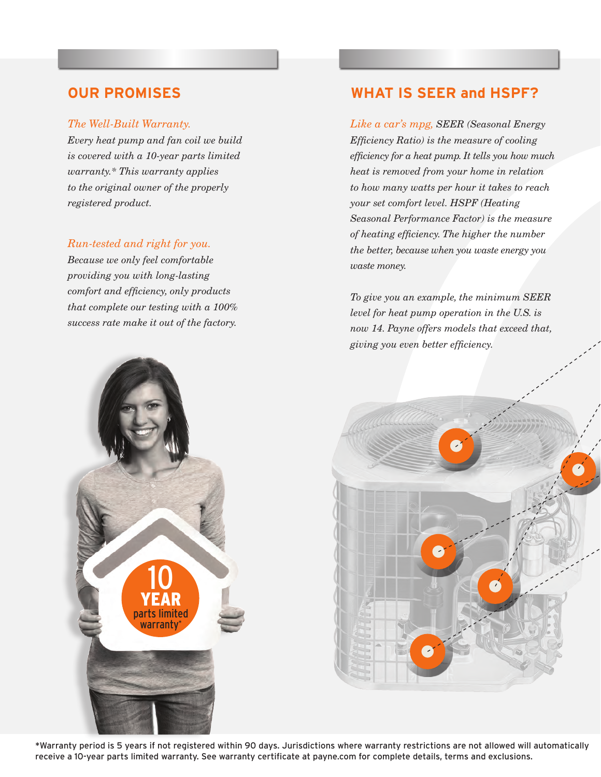### *The Well-Built Warranty.*

*Every heat pump and fan coil we build is covered with a 10-year parts limited warranty.\* This warranty applies to the original owner of the properly registered product.*

## *Run-tested and right for you.*

*Because we only feel comfortable providing you with long-lasting comfort and efficiency, only products that complete our testing with a 100% success rate make it out of the factory.* 

## **OUR PROMISES WHAT IS SEER and HSPF?**

*Like a car's mpg, SEER (Seasonal Energy Efficiency Ratio) is the measure of cooling efficiency for a heat pump. It tells you how much heat is removed from your home in relation to how many watts per hour it takes to reach your set comfort level. HSPF (Heating Seasonal Performance Factor) is the measure of heating efficiency. The higher the number the better, because when you waste energy you waste money.*

*To give you an example, the minimum SEER level for heat pump operation in the U.S. is now 14. Payne offers models that exceed that, giving you even better efficiency.*





\*Warranty period is 5 years if not registered within 90 days. Jurisdictions where warranty restrictions are not allowed will automatically receive a 10-year parts limited warranty. See warranty certificate at payne.com for complete details, terms and exclusions.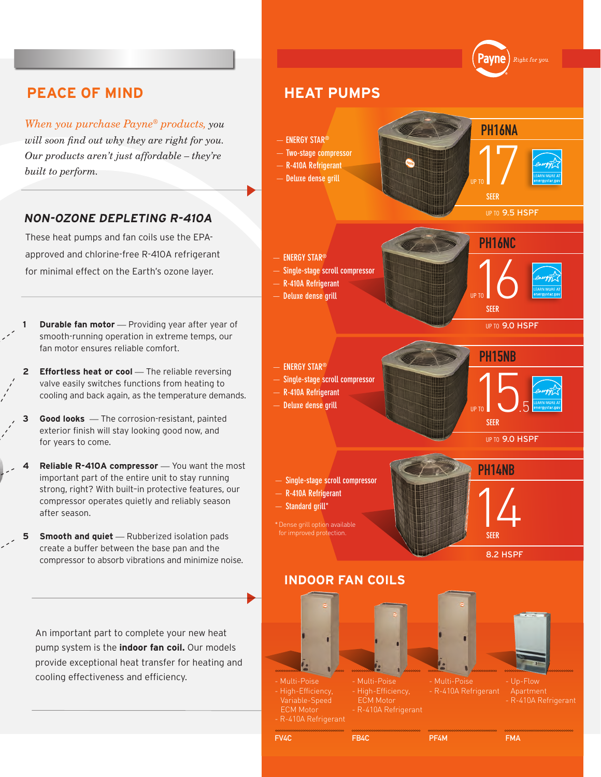

*When you purchase Payne® products, you will soon find out why they are right for you. Our products aren't just affordable – they're built to perform.*

## **NON-OZONE DEPLETING R-410A**

These heat pumps and fan coils use the EPAapproved and chlorine-free R-410A refrigerant for minimal effect on the Earth's ozone layer.

- **1 Durable fan motor** *—* Providing year after year of smooth-running operation in extreme temps, our fan motor ensures reliable comfort.
- **2 Effortless heat or cool** The reliable reversing valve easily switches functions from heating to cooling and back again, as the temperature demands.
- **3 Good looks** *—* The corrosion-resistant, painted exterior finish will stay looking good now, and for years to come.
- **Reliable R-410A compressor** You want the most important part of the entire unit to stay running strong, right? With built–in protective features, our compressor operates quietly and reliably season after season.
- **5** Smooth and quiet Rubberized isolation pads create a buffer between the base pan and the compressor to absorb vibrations and minimize noise.

An important part to complete your new heat pump system is the **indoor fan coil.** Our models provide exceptional heat transfer for heating and cooling effectiveness and efficiency.



 ECM Motor - R-410A Refrigerant

PF4M

R-410A Refrigerant

FB4C

FMA

FV4C